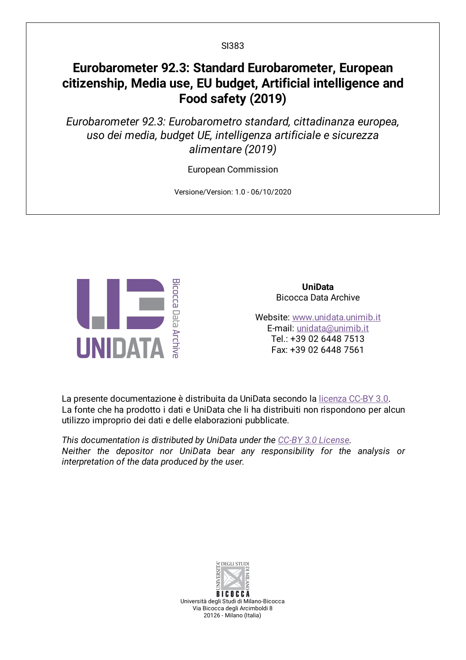# **Eurobarometer 92.3: Standard Eurobarometer, European citizenship, Media use, EU budget, Artificial intelligence and Food safety (2019)**

*Eurobarometer 92.3: Eurobarometro standard, cittadinanza europea, uso dei media, budget UE, intelligenza artificiale e sicurezza alimentare (2019)*

European Commission

Versione/Version: 1.0 - 06/10/2020



**UniData** Bicocca Data Archive

Website: [www.unidata.unimib.it](http://www.unidata.unimib.it) E-mail: [unidata@unimib.it](mailto:unidata@unimib.it) Tel.: +39 02 6448 7513 Fax: +39 02 6448 7561

La presente documentazione è distribuita da UniData secondo la [licenza](https://creativecommons.org/licenses/by/3.0/deed.it) CC-BY 3.0. La fonte che ha prodotto i dati e UniData che li ha distribuiti non rispondono per alcun utilizzo improprio dei dati e delle elaborazioni pubblicate.

*This documentation is distributed by UniData under the CC-BY 3.0 [License](https://creativecommons.org/licenses/by/3.0/). Neither the depositor nor UniData bear any responsibility for the analysis or interpretation of the data produced by the user.*



Università degli Studi di Milano-Bicocca Via Bicocca degli Arcimboldi 8 20126 - Milano (Italia)

SI383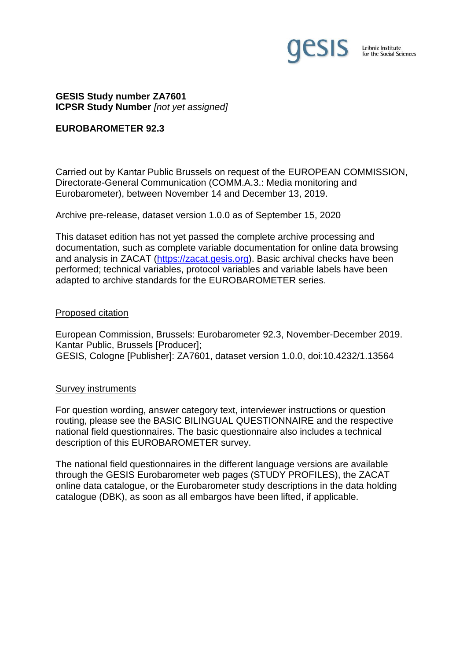

# **GESIS Study number ZA7601 ICPSR Study Number** *[not yet assigned]*

#### **EUROBAROMETER 92.3**

Carried out by Kantar Public Brussels on request of the EUROPEAN COMMISSION, Directorate-General Communication (COMM.A.3.: Media monitoring and Eurobarometer), between November 14 and December 13, 2019.

Archive pre-release, dataset version 1.0.0 as of September 15, 2020

This dataset edition has not yet passed the complete archive processing and documentation, such as complete variable documentation for online data browsing and analysis in ZACAT [\(https://zacat.gesis.org\)](https://zacat.gesis.org/). Basic archival checks have been performed; technical variables, protocol variables and variable labels have been adapted to archive standards for the EUROBAROMETER series.

#### Proposed citation

European Commission, Brussels: Eurobarometer 92.3, November-December 2019. Kantar Public, Brussels [Producer]; GESIS, Cologne [Publisher]: ZA7601, dataset version 1.0.0, doi:10.4232/1.13564

# Survey instruments

For question wording, answer category text, interviewer instructions or question routing, please see the BASIC BILINGUAL QUESTIONNAIRE and the respective national field questionnaires. The basic questionnaire also includes a technical description of this EUROBAROMETER survey.

The national field questionnaires in the different language versions are available through the GESIS Eurobarometer web pages (STUDY PROFILES), the ZACAT online data catalogue, or the Eurobarometer study descriptions in the data holding catalogue (DBK), as soon as all embargos have been lifted, if applicable.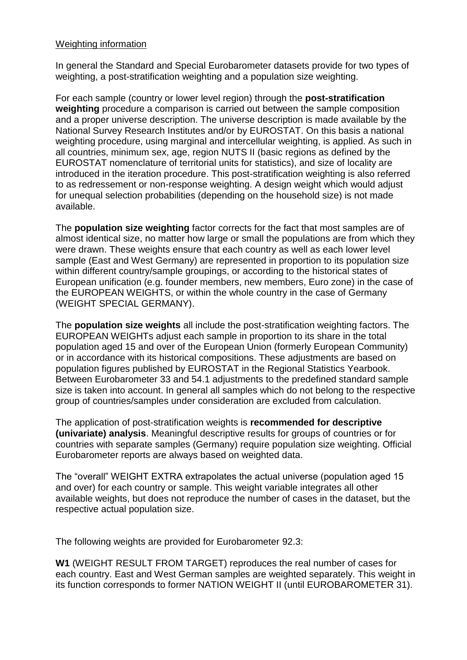# Weighting information

In general the Standard and Special Eurobarometer datasets provide for two types of weighting, a post-stratification weighting and a population size weighting.

For each sample (country or lower level region) through the **post-stratification weighting** procedure a comparison is carried out between the sample composition and a proper universe description. The universe description is made available by the National Survey Research Institutes and/or by EUROSTAT. On this basis a national weighting procedure, using marginal and intercellular weighting, is applied. As such in all countries, minimum sex, age, region NUTS II (basic regions as defined by the EUROSTAT nomenclature of territorial units for statistics), and size of locality are introduced in the iteration procedure. This post-stratification weighting is also referred to as redressement or non-response weighting. A design weight which would adjust for unequal selection probabilities (depending on the household size) is not made available.

The **population size weighting** factor corrects for the fact that most samples are of almost identical size, no matter how large or small the populations are from which they were drawn. These weights ensure that each country as well as each lower level sample (East and West Germany) are represented in proportion to its population size within different country/sample groupings, or according to the historical states of European unification (e.g. founder members, new members, Euro zone) in the case of the EUROPEAN WEIGHTS, or within the whole country in the case of Germany (WEIGHT SPECIAL GERMANY).

The **population size weights** all include the post-stratification weighting factors. The EUROPEAN WEIGHTs adjust each sample in proportion to its share in the total population aged 15 and over of the European Union (formerly European Community) or in accordance with its historical compositions. These adjustments are based on population figures published by EUROSTAT in the Regional Statistics Yearbook. Between Eurobarometer 33 and 54.1 adjustments to the predefined standard sample size is taken into account. In general all samples which do not belong to the respective group of countries/samples under consideration are excluded from calculation.

The application of post-stratification weights is **recommended for descriptive (univariate) analysis**. Meaningful descriptive results for groups of countries or for countries with separate samples (Germany) require population size weighting. Official Eurobarometer reports are always based on weighted data.

The "overall" WEIGHT EXTRA extrapolates the actual universe (population aged 15 and over) for each country or sample. This weight variable integrates all other available weights, but does not reproduce the number of cases in the dataset, but the respective actual population size.

The following weights are provided for Eurobarometer 92.3:

**W1** (WEIGHT RESULT FROM TARGET) reproduces the real number of cases for each country. East and West German samples are weighted separately. This weight in its function corresponds to former NATION WEIGHT II (until EUROBAROMETER 31).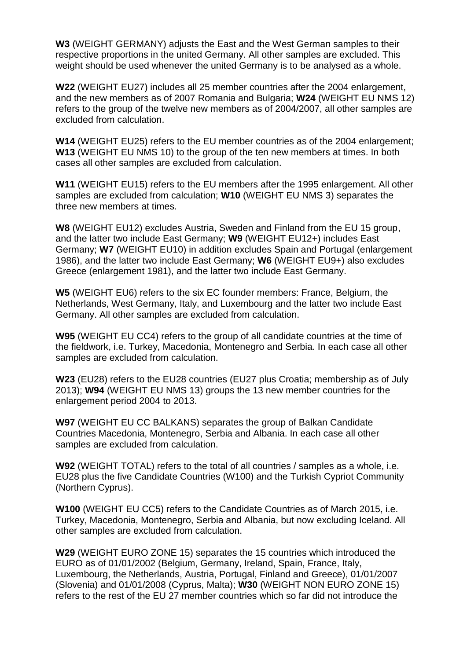**W3** (WEIGHT GERMANY) adjusts the East and the West German samples to their respective proportions in the united Germany. All other samples are excluded. This weight should be used whenever the united Germany is to be analysed as a whole.

**W22** (WEIGHT EU27) includes all 25 member countries after the 2004 enlargement, and the new members as of 2007 Romania and Bulgaria; **W24** (WEIGHT EU NMS 12) refers to the group of the twelve new members as of 2004/2007, all other samples are excluded from calculation.

**W14** (WEIGHT EU25) refers to the EU member countries as of the 2004 enlargement; **W13** (WEIGHT EU NMS 10) to the group of the ten new members at times. In both cases all other samples are excluded from calculation.

**W11** (WEIGHT EU15) refers to the EU members after the 1995 enlargement. All other samples are excluded from calculation; **W10** (WEIGHT EU NMS 3) separates the three new members at times.

**W8** (WEIGHT EU12) excludes Austria, Sweden and Finland from the EU 15 group, and the latter two include East Germany; **W9** (WEIGHT EU12+) includes East Germany; **W7** (WEIGHT EU10) in addition excludes Spain and Portugal (enlargement 1986), and the latter two include East Germany; **W6** (WEIGHT EU9+) also excludes Greece (enlargement 1981), and the latter two include East Germany.

**W5** (WEIGHT EU6) refers to the six EC founder members: France, Belgium, the Netherlands, West Germany, Italy, and Luxembourg and the latter two include East Germany. All other samples are excluded from calculation.

**W95** (WEIGHT EU CC4) refers to the group of all candidate countries at the time of the fieldwork, i.e. Turkey, Macedonia, Montenegro and Serbia. In each case all other samples are excluded from calculation.

**W23** (EU28) refers to the EU28 countries (EU27 plus Croatia; membership as of July 2013); **W94** (WEIGHT EU NMS 13) groups the 13 new member countries for the enlargement period 2004 to 2013.

**W97** (WEIGHT EU CC BALKANS) separates the group of Balkan Candidate Countries Macedonia, Montenegro, Serbia and Albania. In each case all other samples are excluded from calculation.

**W92** (WEIGHT TOTAL) refers to the total of all countries / samples as a whole, i.e. EU28 plus the five Candidate Countries (W100) and the Turkish Cypriot Community (Northern Cyprus).

**W100** (WEIGHT EU CC5) refers to the Candidate Countries as of March 2015, i.e. Turkey, Macedonia, Montenegro, Serbia and Albania, but now excluding Iceland. All other samples are excluded from calculation.

**W29** (WEIGHT EURO ZONE 15) separates the 15 countries which introduced the EURO as of 01/01/2002 (Belgium, Germany, Ireland, Spain, France, Italy, Luxembourg, the Netherlands, Austria, Portugal, Finland and Greece), 01/01/2007 (Slovenia) and 01/01/2008 (Cyprus, Malta); **W30** (WEIGHT NON EURO ZONE 15) refers to the rest of the EU 27 member countries which so far did not introduce the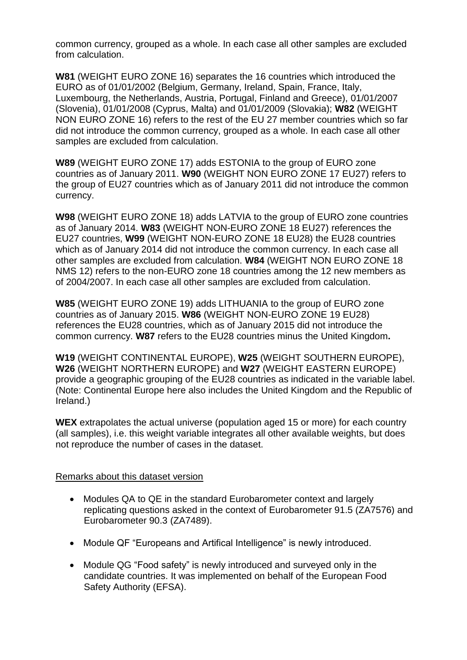common currency, grouped as a whole. In each case all other samples are excluded from calculation.

**W81** (WEIGHT EURO ZONE 16) separates the 16 countries which introduced the EURO as of 01/01/2002 (Belgium, Germany, Ireland, Spain, France, Italy, Luxembourg, the Netherlands, Austria, Portugal, Finland and Greece), 01/01/2007 (Slovenia), 01/01/2008 (Cyprus, Malta) and 01/01/2009 (Slovakia); **W82** (WEIGHT NON EURO ZONE 16) refers to the rest of the EU 27 member countries which so far did not introduce the common currency, grouped as a whole. In each case all other samples are excluded from calculation.

**W89** (WEIGHT EURO ZONE 17) adds ESTONIA to the group of EURO zone countries as of January 2011. **W90** (WEIGHT NON EURO ZONE 17 EU27) refers to the group of EU27 countries which as of January 2011 did not introduce the common currency.

**W98** (WEIGHT EURO ZONE 18) adds LATVIA to the group of EURO zone countries as of January 2014. **W83** (WEIGHT NON-EURO ZONE 18 EU27) references the EU27 countries, **W99** (WEIGHT NON-EURO ZONE 18 EU28) the EU28 countries which as of January 2014 did not introduce the common currency. In each case all other samples are excluded from calculation. **W84** (WEIGHT NON EURO ZONE 18 NMS 12) refers to the non-EURO zone 18 countries among the 12 new members as of 2004/2007. In each case all other samples are excluded from calculation.

**W85** (WEIGHT EURO ZONE 19) adds LITHUANIA to the group of EURO zone countries as of January 2015. **W86** (WEIGHT NON-EURO ZONE 19 EU28) references the EU28 countries, which as of January 2015 did not introduce the common currency. **W87** refers to the EU28 countries minus the United Kingdom**.**

**W19** (WEIGHT CONTINENTAL EUROPE), **W25** (WEIGHT SOUTHERN EUROPE), **W26** (WEIGHT NORTHERN EUROPE) and **W27** (WEIGHT EASTERN EUROPE) provide a geographic grouping of the EU28 countries as indicated in the variable label. (Note: Continental Europe here also includes the United Kingdom and the Republic of Ireland.)

**WEX** extrapolates the actual universe (population aged 15 or more) for each country (all samples), i.e. this weight variable integrates all other available weights, but does not reproduce the number of cases in the dataset.

# Remarks about this dataset version

- Modules QA to QE in the standard Eurobarometer context and largely replicating questions asked in the context of Eurobarometer 91.5 (ZA7576) and Eurobarometer 90.3 (ZA7489).
- Module QF "Europeans and Artifical Intelligence" is newly introduced.
- Module QG "Food safety" is newly introduced and surveyed only in the candidate countries. It was implemented on behalf of the European Food Safety Authority (EFSA).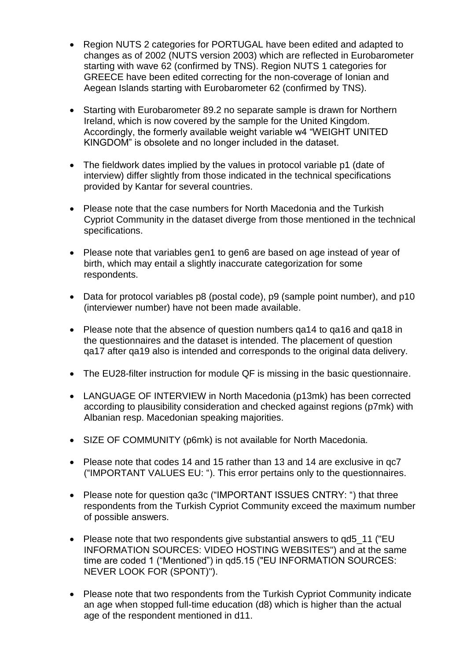- Region NUTS 2 categories for PORTUGAL have been edited and adapted to changes as of 2002 (NUTS version 2003) which are reflected in Eurobarometer starting with wave 62 (confirmed by TNS). Region NUTS 1 categories for GREECE have been edited correcting for the non-coverage of Ionian and Aegean Islands starting with Eurobarometer 62 (confirmed by TNS).
- Starting with Eurobarometer 89.2 no separate sample is drawn for Northern Ireland, which is now covered by the sample for the United Kingdom. Accordingly, the formerly available weight variable w4 "WEIGHT UNITED KINGDOM" is obsolete and no longer included in the dataset.
- The fieldwork dates implied by the values in protocol variable p1 (date of interview) differ slightly from those indicated in the technical specifications provided by Kantar for several countries.
- Please note that the case numbers for North Macedonia and the Turkish Cypriot Community in the dataset diverge from those mentioned in the technical specifications.
- Please note that variables gen1 to gen6 are based on age instead of year of birth, which may entail a slightly inaccurate categorization for some respondents.
- Data for protocol variables p8 (postal code), p9 (sample point number), and p10 (interviewer number) have not been made available.
- Please note that the absence of question numbers ga14 to ga16 and ga18 in the questionnaires and the dataset is intended. The placement of question qa17 after qa19 also is intended and corresponds to the original data delivery.
- The EU28-filter instruction for module QF is missing in the basic questionnaire.
- LANGUAGE OF INTERVIEW in North Macedonia (p13mk) has been corrected according to plausibility consideration and checked against regions (p7mk) with Albanian resp. Macedonian speaking majorities.
- SIZE OF COMMUNITY (p6mk) is not available for North Macedonia.
- Please note that codes 14 and 15 rather than 13 and 14 are exclusive in qc7 ("IMPORTANT VALUES EU: "). This error pertains only to the questionnaires.
- Please note for question ga3c ("IMPORTANT ISSUES CNTRY: ") that three respondents from the Turkish Cypriot Community exceed the maximum number of possible answers.
- Please note that two respondents give substantial answers to qd5\_11 ("EU INFORMATION SOURCES: VIDEO HOSTING WEBSITES") and at the same time are coded 1 ("Mentioned") in qd5.15 ("EU INFORMATION SOURCES: NEVER LOOK FOR (SPONT)").
- Please note that two respondents from the Turkish Cypriot Community indicate an age when stopped full-time education (d8) which is higher than the actual age of the respondent mentioned in d11.